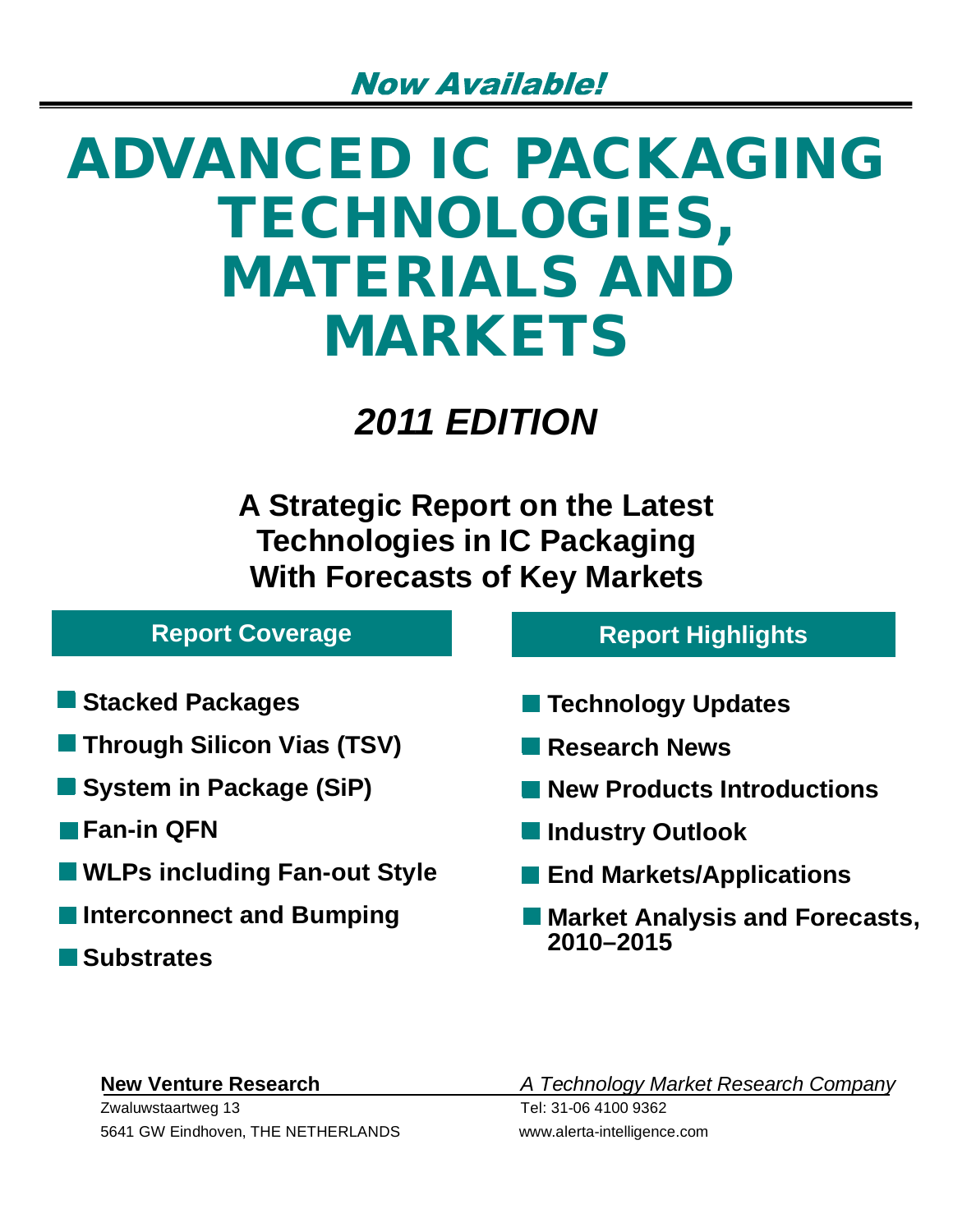# **ADVANCED IC PACKAGING TECHNOLOGIES, MATERIALS AND MARKETS**

*2011 EDITION*

**A Strategic Report on the Latest Technologies in IC Packaging With Forecasts of Key Markets**

## **Report Coverage**

- **Stacked Packages**
- **Through Silicon Vias (TSV)**
- **System in Package (SiP)**
- **Fan-in QFN**
- **WLPs including Fan-out Style**
- **Interconnect and Bumping** 
	- **Substrates**

## **Report Highlights**

- **Technology Updates**
- **Research News**
- **New Products Introductions**
- **Industry Outlook**
- **End Markets/Applications**
- **Market Analysis and Forecasts, 2010–2015**

Zwaluwstaartweg 13 Tel: 31-06 4100 9362 5641 GW Eindhoven, THE NETHERLANDS www.alerta-intelligence.com

**New Venture Research** *A Technology Market Research Company*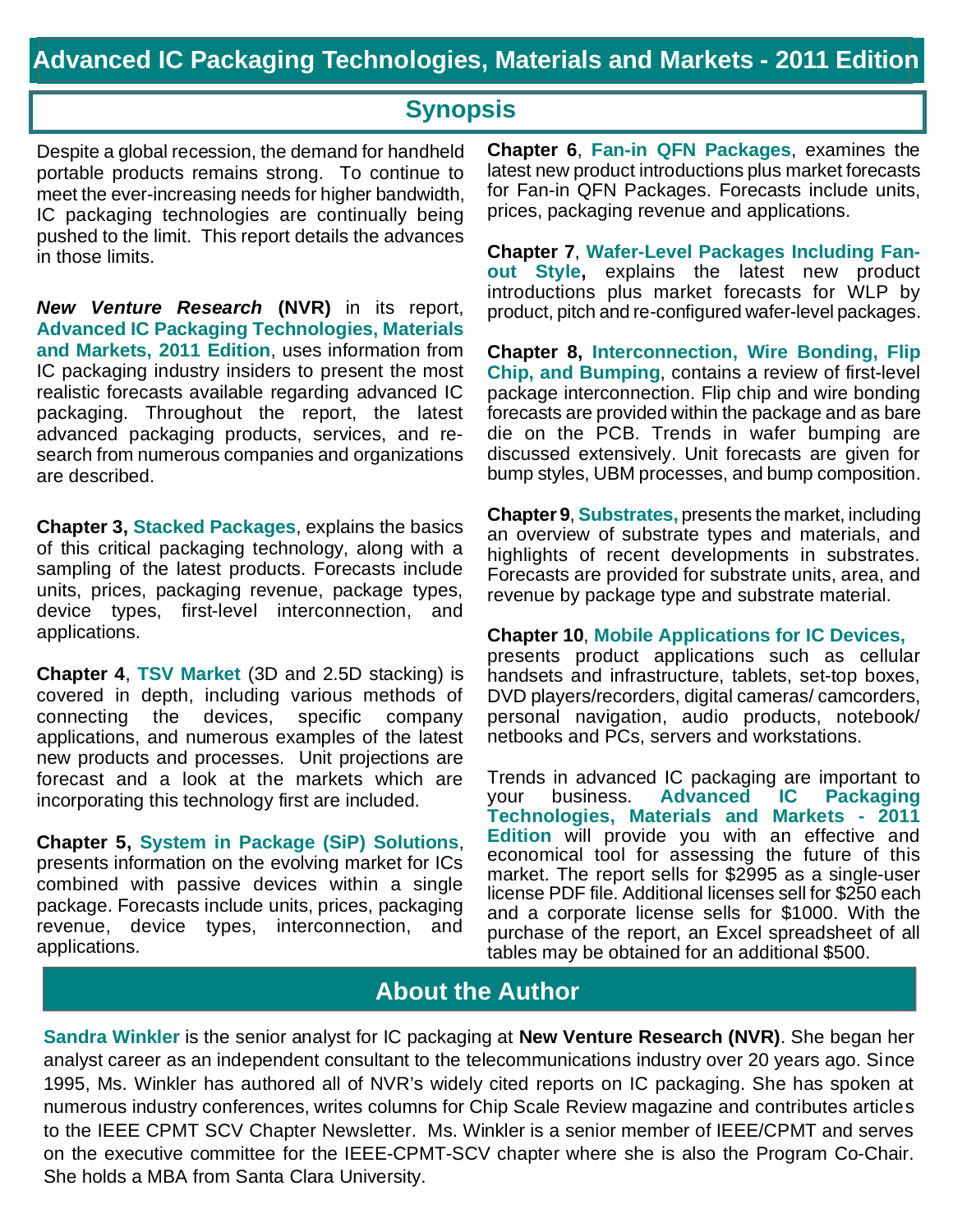## **Synopsis**

Despite a global recession, the demand for handheld portable products remains strong. To continue to meet the ever-increasing needs for higher bandwidth, IC packaging technologies are continually being pushed to the limit. This report details the advances in those limits.

*New Venture Research* **(NVR)** in its report, **Advanced IC Packaging Technologies, Materials and Markets, 2011 Edition**, uses information from IC packaging industry insiders to present the most realistic forecasts available regarding advanced IC packaging. Throughout the report, the latest advanced packaging products, services, and research from numerous companies and organizations are described.

**Chapter 3, Stacked Packages**, explains the basics of this critical packaging technology, along with a sampling of the latest products. Forecasts include units, prices, packaging revenue, package types, device types, first-level interconnection, and applications.

**Chapter 4**, **TSV Market** (3D and 2.5D stacking) is covered in depth, including various methods of connecting the devices, specific company applications, and numerous examples of the latest new products and processes. Unit projections are forecast and a look at the markets which are incorporating this technology first are included.

**Chapter 5, System in Package (SiP) Solutions**, presents information on the evolving market for ICs combined with passive devices within a single package. Forecasts include units, prices, packaging revenue, device types, interconnection, and applications.

**Chapter 6**, **Fan-in QFN Packages**, examines the latest new product introductions plus market forecasts for Fan-in QFN Packages. Forecasts include units, prices, packaging revenue and applications.

**Chapter 7**, **Wafer-Level Packages Including Fanout Style,** explains the latest new product introductions plus market forecasts for WLP by product, pitch and re-configured wafer-level packages.

**Chapter 8, Interconnection, Wire Bonding, Flip Chip, and Bumping**, contains a review of first-level package interconnection. Flip chip and wire bonding forecasts are provided within the package and as bare die on the PCB. Trends in wafer bumping are discussed extensively. Unit forecasts are given for bump styles, UBM processes, and bump composition.

**Chapter 9**, **Substrates,** presents the market, including an overview of substrate types and materials, and highlights of recent developments in substrates. Forecasts are provided for substrate units, area, and revenue by package type and substrate material.

**Chapter 10**, **Mobile Applications for IC Devices,**

presents product applications such as cellular handsets and infrastructure, tablets, set-top boxes, DVD players/recorders, digital cameras/ camcorders, personal navigation, audio products, notebook/ netbooks and PCs, servers and workstations.

Trends in advanced IC packaging are important to your business. **Advanced IC Packaging Technologies, Materials and Markets - 2011 Edition** will provide you with an effective and economical tool for assessing the future of this market. The report sells for \$2995 as a single-user license PDF file. Additional licenses sell for \$250 each and a corporate license sells for \$1000. With the purchase of the report, an Excel spreadsheet of all tables may be obtained for an additional \$500.

## **About the Author**

**Sandra Winkler** is the senior analyst for IC packaging at **New Venture Research (NVR)**. She began her analyst career as an independent consultant to the telecommunications industry over 20 years ago. Since 1995, Ms. Winkler has authored all of NVR's widely cited reports on IC packaging. She has spoken at numerous industry conferences, writes columns for Chip Scale Review magazine and contributes articles to the IEEE CPMT SCV Chapter Newsletter. Ms. Winkler is a senior member of IEEE/CPMT and serves on the executive committee for the IEEE-CPMT-SCV chapter where she is also the Program Co-Chair. She holds a MBA from Santa Clara University.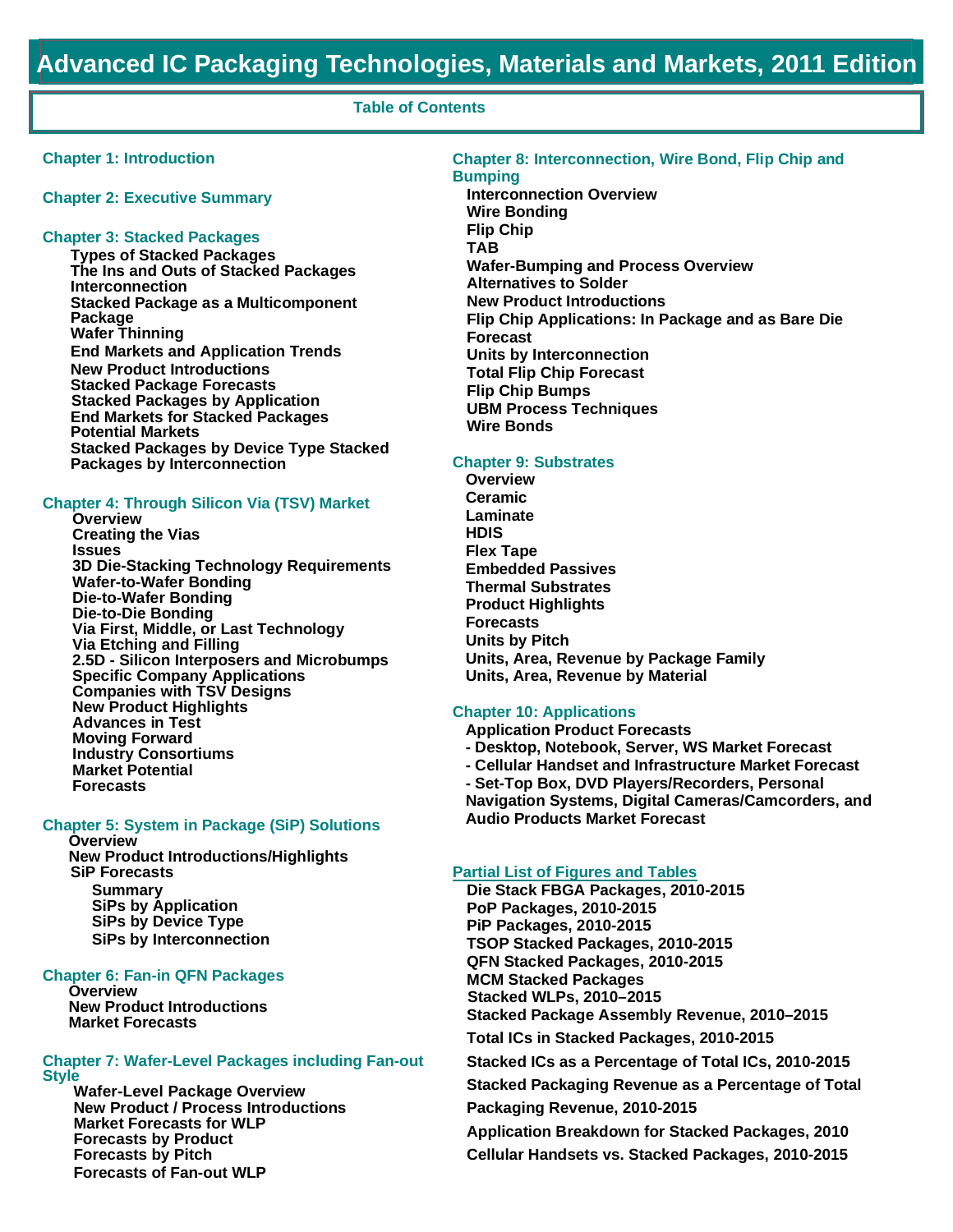#### **Table of Contents**

#### **Chapter 1: Introduction**

**Chapter 2: Executive Summary**

#### **Chapter 3: Stacked Packages**

**Types of Stacked Packages The Ins and Outs of Stacked Packages Interconnection Stacked Package as a Multicomponent Package Wafer Thinning End Markets and Application Trends New Product Introductions Stacked Package Forecasts Stacked Packages by Application End Markets for Stacked Packages Potential Markets Stacked Packages by Device Type Stacked Packages by Interconnection**

#### **Chapter 4: Through Silicon Via (TSV) Market**

**Overview Creating the Vias Issues 3D Die-Stacking Technology Requirements Wafer-to-Wafer Bonding Die-to-Wafer Bonding Die-to-Die Bonding Via First, Middle, or Last Technology Via Etching and Filling 2.5D - Silicon Interposers and Microbumps Specific Company Applications Companies with TSV Designs New Product Highlights Advances in Test Moving Forward Industry Consortiums Market Potential Forecasts**

### **Chapter 5: System in Package (SiP) Solutions**

**Overview New Product Introductions/Highlights SiP Forecasts Summary SiPs by Application SiPs by Device Type SiPs by Interconnection**

#### **Chapter 6: Fan-in QFN Packages**

**Overview New Product Introductions Market Forecasts**

#### **Chapter 7: Wafer-Level Packages including Fan-out Style**

**Wafer-Level Package Overview New Product / Process Introductions Market Forecasts for WLP Forecasts by Product Forecasts by Pitch Forecasts of Fan-out WLP**

#### **Chapter 8: Interconnection, Wire Bond, Flip Chip and Bumping**

**Interconnection Overview Wire Bonding Flip Chip TAB Wafer-Bumping and Process Overview Alternatives to Solder New Product Introductions Flip Chip Applications: In Package and as Bare Die Forecast Units by Interconnection Total Flip Chip Forecast Flip Chip Bumps UBM Process Techniques Wire Bonds**

#### **Chapter 9: Substrates**

**Overview Ceramic Laminate HDIS Flex Tape Embedded Passives Thermal Substrates Product Highlights Forecasts Units by Pitch Units, Area, Revenue by Package Family Units, Area, Revenue by Material**

#### **Chapter 10: Applications**

**Application Product Forecasts - Desktop, Notebook, Server, WS Market Forecast - Cellular Handset and Infrastructure Market Forecast - Set-Top Box, DVD Players/Recorders, Personal**

**Navigation Systems, Digital Cameras/Camcorders, and Audio Products Market Forecast**

#### **Partial List of Figures and Tables**

**Die Stack FBGA Packages, 2010-2015 PoP Packages, 2010-2015 PiP Packages, 2010-2015 TSOP Stacked Packages, 2010-2015 QFN Stacked Packages, 2010-2015 MCM Stacked Packages Stacked WLPs, 2010–2015 Stacked Package Assembly Revenue, 2010–2015 Total ICs in Stacked Packages, 2010-2015 Stacked ICs as a Percentage of Total ICs, 2010-2015 Stacked Packaging Revenue as a Percentage of Total Packaging Revenue, 2010-2015 Application Breakdown for Stacked Packages, 2010 Cellular Handsets vs. Stacked Packages, 2010-2015**